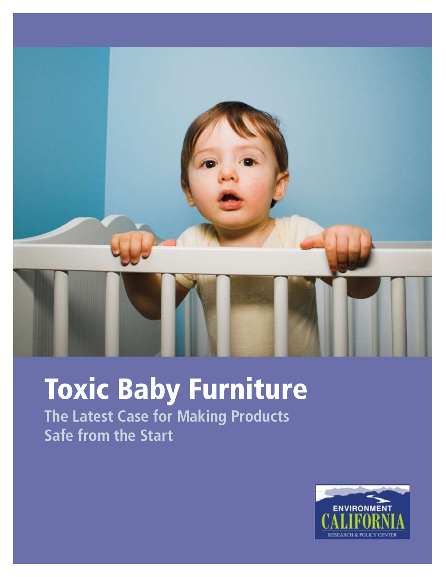

# Toxic Baby Furniture

**The Latest Case for Making Products Safe from the Start**

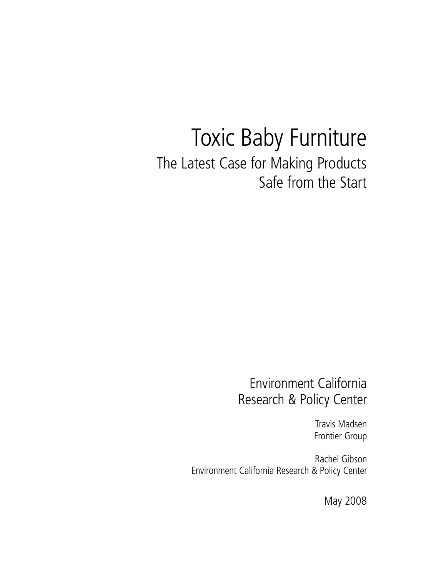## Toxic Baby Furniture The Latest Case for Making Products Safe from the Start

## Environment California Research & Policy Center

Travis Madsen Frontier Group

Rachel Gibson Environment California Research & Policy Center

May 2008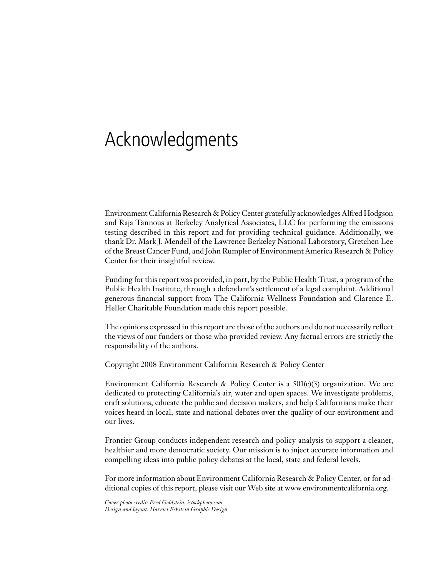## Acknowledgments

Environment California Research & Policy Center gratefully acknowledges Alfred Hodgson and Raja Tannous at Berkeley Analytical Associates, LLC for performing the emissions testing described in this report and for providing technical guidance. Additionally, we thank Dr. Mark J. Mendell of the Lawrence Berkeley National Laboratory, Gretchen Lee of the Breast Cancer Fund, and John Rumpler of Environment America Research & Policy Center for their insightful review.

Funding for this report was provided, in part, by the Public Health Trust, a program of the Public Health Institute, through a defendant's settlement of a legal complaint. Additional generous financial support from The California Wellness Foundation and Clarence E. Heller Charitable Foundation made this report possible.

The opinions expressed in this report are those of the authors and do not necessarily reflect the views of our funders or those who provided review. Any factual errors are strictly the responsibility of the authors.

Copyright 2008 Environment California Research & Policy Center

Environment California Research & Policy Center is a  $501(c)(3)$  organization. We are dedicated to protecting California's air, water and open spaces. We investigate problems, craft solutions, educate the public and decision makers, and help Californians make their voices heard in local, state and national debates over the quality of our environment and our lives.

Frontier Group conducts independent research and policy analysis to support a cleaner, healthier and more democratic society. Our mission is to inject accurate information and compelling ideas into public policy debates at the local, state and federal levels.

For more information about Environment California Research & Policy Center, or for additional copies of this report, please visit our Web site at www.environmentcalifornia.org.

*Cover photo credit: Fred Goldstein, istockphoto.com Design and layout: Harriet Eckstein Graphic Design*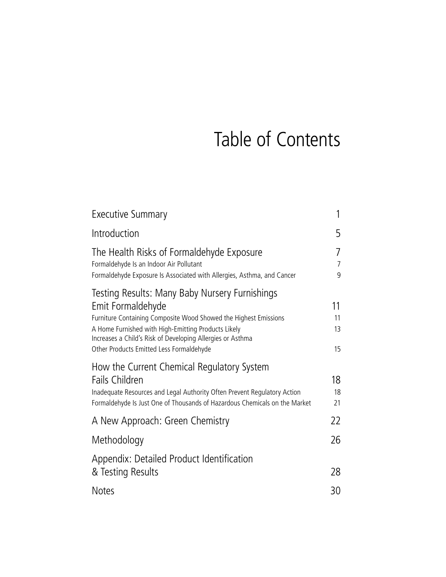## Table of Contents

| <b>Executive Summary</b>                                                                                                                                                                                                                                                                                 | 1                        |
|----------------------------------------------------------------------------------------------------------------------------------------------------------------------------------------------------------------------------------------------------------------------------------------------------------|--------------------------|
| Introduction                                                                                                                                                                                                                                                                                             | 5                        |
| The Health Risks of Formaldehyde Exposure<br>Formaldehyde Is an Indoor Air Pollutant<br>Formaldehyde Exposure Is Associated with Allergies, Asthma, and Cancer                                                                                                                                           | 7<br>$\overline{7}$<br>9 |
| Testing Results: Many Baby Nursery Furnishings<br>Emit Formaldehyde<br>Furniture Containing Composite Wood Showed the Highest Emissions<br>A Home Furnished with High-Emitting Products Likely<br>Increases a Child's Risk of Developing Allergies or Asthma<br>Other Products Emitted Less Formaldehyde | 11<br>11<br>13<br>15     |
| How the Current Chemical Regulatory System<br><b>Fails Children</b><br>Inadequate Resources and Legal Authority Often Prevent Regulatory Action<br>Formaldehyde Is Just One of Thousands of Hazardous Chemicals on the Market                                                                            | 18<br>18<br>21           |
| A New Approach: Green Chemistry                                                                                                                                                                                                                                                                          | 22                       |
| Methodology                                                                                                                                                                                                                                                                                              | 26                       |
| Appendix: Detailed Product Identification<br>& Testing Results                                                                                                                                                                                                                                           | 28                       |
| <b>Notes</b>                                                                                                                                                                                                                                                                                             | 30                       |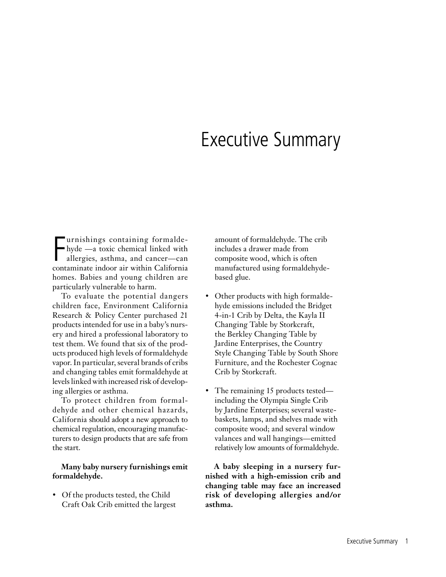## Executive Summary

**F**urnishings containing formalde-<br>hyde —a toxic chemical linked with<br>allergies, asthma, and cancer—can<br>contaminate indoor air within California urnishings containing formaldehyde —a toxic chemical linked with allergies, asthma, and cancer—can homes. Babies and young children are particularly vulnerable to harm.

To evaluate the potential dangers children face, Environment California Research & Policy Center purchased 21 products intended for use in a baby's nursery and hired a professional laboratory to test them. We found that six of the products produced high levels of formaldehyde vapor. In particular, several brands of cribs and changing tables emit formaldehyde at levels linked with increased risk of developing allergies or asthma.

To protect children from formaldehyde and other chemical hazards, California should adopt a new approach to chemical regulation, encouraging manufacturers to design products that are safe from the start.

#### **Many baby nursery furnishings emit formaldehyde.**

• Of the products tested, the Child Craft Oak Crib emitted the largest amount of formaldehyde. The crib includes a drawer made from composite wood, which is often manufactured using formaldehydebased glue.

- Other products with high formaldehyde emissions included the Bridget 4-in-1 Crib by Delta, the Kayla II Changing Table by Storkcraft, the Berkley Changing Table by Jardine Enterprises, the Country Style Changing Table by South Shore Furniture, and the Rochester Cognac Crib by Storkcraft.
- The remaining 15 products tested including the Olympia Single Crib by Jardine Enterprises; several wastebaskets, lamps, and shelves made with composite wood; and several window valances and wall hangings—emitted relatively low amounts of formaldehyde.

**A baby sleeping in a nursery furnished with a high-emission crib and changing table may face an increased risk of developing allergies and/or asthma.**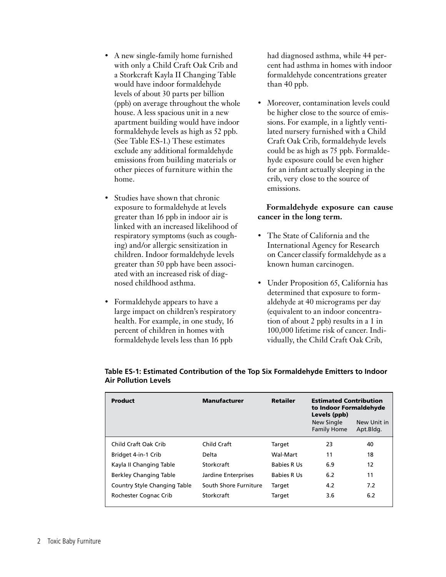- A new single-family home furnished with only a Child Craft Oak Crib and a Storkcraft Kayla II Changing Table would have indoor formaldehyde levels of about 30 parts per billion (ppb) on average throughout the whole house. A less spacious unit in a new apartment building would have indoor formaldehyde levels as high as 52 ppb. (See Table ES-1.) These estimates exclude any additional formaldehyde emissions from building materials or other pieces of furniture within the home.
- Studies have shown that chronic exposure to formaldehyde at levels greater than 16 ppb in indoor air is linked with an increased likelihood of respiratory symptoms (such as coughing) and/or allergic sensitization in children. Indoor formaldehyde levels greater than 50 ppb have been associated with an increased risk of diagnosed childhood asthma.
- Formaldehyde appears to have a large impact on children's respiratory health. For example, in one study, 16 percent of children in homes with formaldehyde levels less than 16 ppb

had diagnosed asthma, while 44 percent had asthma in homes with indoor formaldehyde concentrations greater than 40 ppb.

Moreover, contamination levels could be higher close to the source of emissions. For example, in a lightly ventilated nursery furnished with a Child Craft Oak Crib, formaldehyde levels could be as high as 75 ppb. Formaldehyde exposure could be even higher for an infant actually sleeping in the crib, very close to the source of emissions.

#### **Formaldehyde exposure can cause cancer in the long term.**

- The State of California and the International Agency for Research on Cancer classify formaldehyde as a known human carcinogen.
- Under Proposition 65, California has determined that exposure to formaldehyde at 40 micrograms per day (equivalent to an indoor concentration of about 2 ppb) results in a 1 in 100,000 lifetime risk of cancer. Individually, the Child Craft Oak Crib,

| <b>Product</b>               | <b>Manufacturer</b>   | <b>Retailer</b>    | <b>Estimated Contribution</b><br>to Indoor Formaldehyde<br>Levels (ppb)<br>New Single<br>New Unit in<br><b>Family Home</b><br>Apt.Bldg. |     |
|------------------------------|-----------------------|--------------------|-----------------------------------------------------------------------------------------------------------------------------------------|-----|
| Child Craft Oak Crib         | Child Craft           | Target             | 23                                                                                                                                      | 40  |
| Bridget 4-in-1 Crib          | Delta                 | Wal-Mart           | 11                                                                                                                                      | 18  |
| Kayla II Changing Table      | Storkcraft            | <b>Babies R Us</b> | 6.9                                                                                                                                     | 12  |
| Berkley Changing Table       | Jardine Enterprises   | <b>Babies R Us</b> | 6.2                                                                                                                                     | 11  |
| Country Style Changing Table | South Shore Furniture | Target             | 4.2                                                                                                                                     | 7.2 |
| Rochester Cognac Crib        | Storkcraft            | Target             | 3.6                                                                                                                                     | 6.2 |

| Table ES-1: Estimated Contribution of the Top Six Formaldehyde Emitters to Indoor |
|-----------------------------------------------------------------------------------|
| <b>Air Pollution Levels</b>                                                       |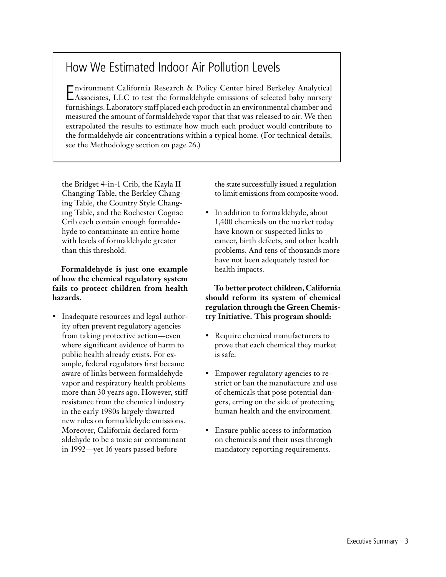## How We Estimated Indoor Air Pollution Levels

E nvironment California Research & Policy Center hired Berkeley Analytical Associates, LLC to test the formaldehyde emissions of selected baby nursery furnishings. Laboratory staff placed each product in an environmental chamber and measured the amount of formaldehyde vapor that that was released to air. We then extrapolated the results to estimate how much each product would contribute to the formaldehyde air concentrations within a typical home. (For technical details, see the Methodology section on page 26.)

the Bridget 4-in-1 Crib, the Kayla II Changing Table, the Berkley Changing Table, the Country Style Changing Table, and the Rochester Cognac Crib each contain enough formaldehyde to contaminate an entire home with levels of formaldehyde greater than this threshold.

**Formaldehyde is just one example of how the chemical regulatory system fails to protect children from health hazards.** 

• Inadequate resources and legal authority often prevent regulatory agencies from taking protective action—even where significant evidence of harm to public health already exists. For example, federal regulators first became aware of links between formaldehyde vapor and respiratory health problems more than 30 years ago. However, stiff resistance from the chemical industry in the early 1980s largely thwarted new rules on formaldehyde emissions. Moreover, California declared formaldehyde to be a toxic air contaminant in 1992—yet 16 years passed before

the state successfully issued a regulation to limit emissions from composite wood.

• In addition to formaldehyde, about 1,400 chemicals on the market today have known or suspected links to cancer, birth defects, and other health problems. And tens of thousands more have not been adequately tested for health impacts.

**To better protect children, California should reform its system of chemical regulation through the Green Chemistry Initiative. This program should:**

- Require chemical manufacturers to prove that each chemical they market is safe.
- Empower regulatory agencies to restrict or ban the manufacture and use of chemicals that pose potential dangers, erring on the side of protecting human health and the environment.
- Ensure public access to information on chemicals and their uses through mandatory reporting requirements.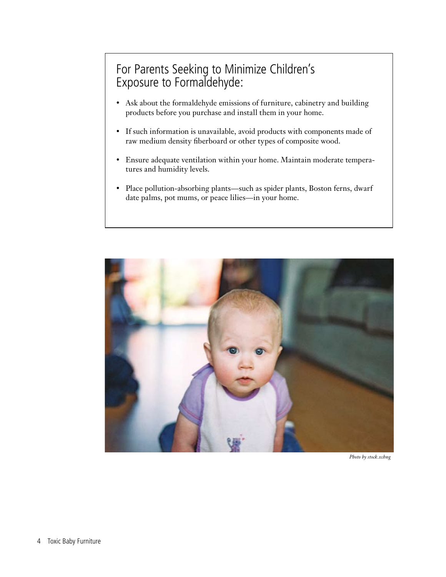## For Parents Seeking to Minimize Children's Exposure to Formaldehyde:

- • Ask about the formaldehyde emissions of furniture, cabinetry and building products before you purchase and install them in your home.
- • If such information is unavailable, avoid products with components made of raw medium density fiberboard or other types of composite wood.
- • Ensure adequate ventilation within your home. Maintain moderate temperatures and humidity levels.
- Place pollution-absorbing plants—such as spider plants, Boston ferns, dwarf date palms, pot mums, or peace lilies—in your home.



*Photo by stock.xchng*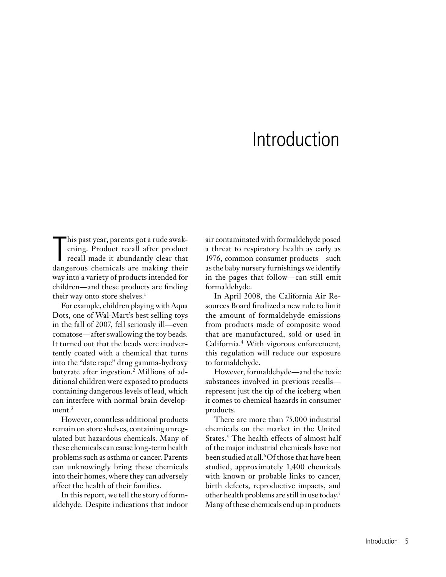## Introduction

This past year, parents got a rude awak-<br>ening. Product recall after product<br>recall made it abundantly clear that<br>dangerous chemicals are making their his past year, parents got a rude awakening. Product recall after product recall made it abundantly clear that way into a variety of products intended for children—and these products are finding their way onto store shelves.<sup>1</sup>

For example, children playing with Aqua Dots, one of Wal-Mart's best selling toys in the fall of 2007, fell seriously ill—even comatose—after swallowing the toy beads. It turned out that the beads were inadvertently coated with a chemical that turns into the "date rape" drug gamma-hydroxy butyrate after ingestion.2 Millions of additional children were exposed to products containing dangerous levels of lead, which can interfere with normal brain development. $3$ 

However, countless additional products remain on store shelves, containing unregulated but hazardous chemicals. Many of these chemicals can cause long-term health problems such as asthma or cancer. Parents can unknowingly bring these chemicals into their homes, where they can adversely affect the health of their families.

In this report, we tell the story of formaldehyde. Despite indications that indoor air contaminated with formaldehyde posed a threat to respiratory health as early as 1976, common consumer products—such as the baby nursery furnishings we identify in the pages that follow—can still emit formaldehyde.

In April 2008, the California Air Resources Board finalized a new rule to limit the amount of formaldehyde emissions from products made of composite wood that are manufactured, sold or used in California.4 With vigorous enforcement, this regulation will reduce our exposure to formaldehyde.

However, formaldehyde—and the toxic substances involved in previous recalls represent just the tip of the iceberg when it comes to chemical hazards in consumer products.

There are more than 75,000 industrial chemicals on the market in the United States.<sup>5</sup> The health effects of almost half of the major industrial chemicals have not been studied at all.6 Of those that have been studied, approximately 1,400 chemicals with known or probable links to cancer, birth defects, reproductive impacts, and other health problems are still in use today.7 Many of these chemicals end up in products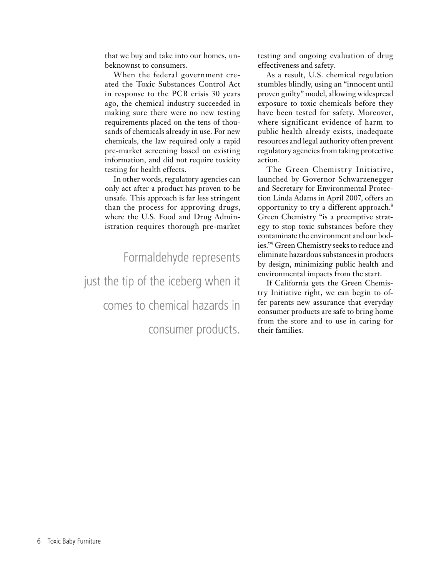that we buy and take into our homes, unbeknownst to consumers.

When the federal government created the Toxic Substances Control Act in response to the PCB crisis 30 years ago, the chemical industry succeeded in making sure there were no new testing requirements placed on the tens of thousands of chemicals already in use. For new chemicals, the law required only a rapid pre-market screening based on existing information, and did not require toxicity testing for health effects.

In other words, regulatory agencies can only act after a product has proven to be unsafe. This approach is far less stringent than the process for approving drugs, where the U.S. Food and Drug Administration requires thorough pre-market

Formaldehyde represents just the tip of the iceberg when it comes to chemical hazards in

consumer products.

testing and ongoing evaluation of drug effectiveness and safety.

As a result, U.S. chemical regulation stumbles blindly, using an "innocent until proven guilty" model, allowing widespread exposure to toxic chemicals before they have been tested for safety. Moreover, where significant evidence of harm to public health already exists, inadequate resources and legal authority often prevent regulatory agencies from taking protective action.

The Green Chemistry Initiative, launched by Governor Schwarzenegger and Secretary for Environmental Protection Linda Adams in April 2007, offers an opportunity to try a different approach.8 Green Chemistry "is a preemptive strategy to stop toxic substances before they contaminate the environment and our bodies."9 Green Chemistry seeks to reduce and eliminate hazardous substances in products by design, minimizing public health and environmental impacts from the start.

If California gets the Green Chemistry Initiative right, we can begin to offer parents new assurance that everyday consumer products are safe to bring home from the store and to use in caring for their families.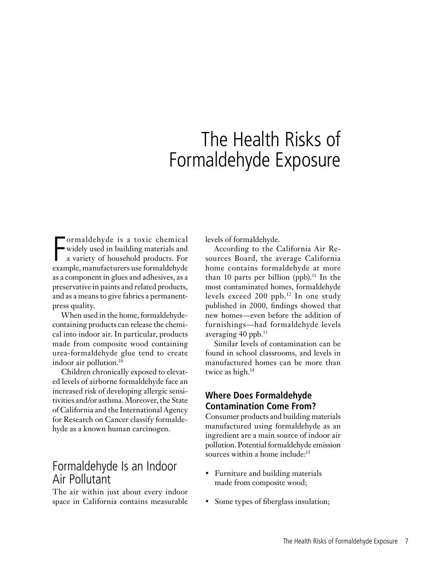## The Health Risks of Formaldehyde Exposure

Formaldehyde is a toxic chemical<br>widely used in building materials and<br>a variety of household products. For<br>example, manufacturers use formaldehyde ormaldehyde is a toxic chemical widely used in building materials and a variety of household products. For as a component in glues and adhesives, as a preservative in paints and related products, and as a means to give fabrics a permanentpress quality.

When used in the home, formaldehydecontaining products can release the chemical into indoor air. In particular, products made from composite wood containing urea-formaldehyde glue tend to create indoor air pollution.10

Children chronically exposed to elevated levels of airborne formaldehyde face an increased risk of developing allergic sensitivities and/or asthma. Moreover, the State of California and the International Agency for Research on Cancer classify formaldehyde as a known human carcinogen.

### Formaldehyde Is an Indoor Air Pollutant

The air within just about every indoor space in California contains measurable

levels of formaldehyde.

According to the California Air Resources Board, the average California home contains formaldehyde at more than 10 parts per billion (ppb).<sup>11</sup> In the most contaminated homes, formaldehyde levels exceed 200 ppb.12 In one study published in 2000, findings showed that new homes—even before the addition of furnishings—had formaldehyde levels averaging 40 ppb.13

Similar levels of contamination can be found in school classrooms, and levels in manufactured homes can be more than twice as high.<sup>14</sup>

### **Where Does Formaldehyde Contamination Come From?**

Consumer products and building materials manufactured using formaldehyde as an ingredient are a main source of indoor air pollution. Potential formaldehyde emission sources within a home include:<sup>15</sup>

- Furniture and building materials made from composite wood;
- Some types of fiberglass insulation;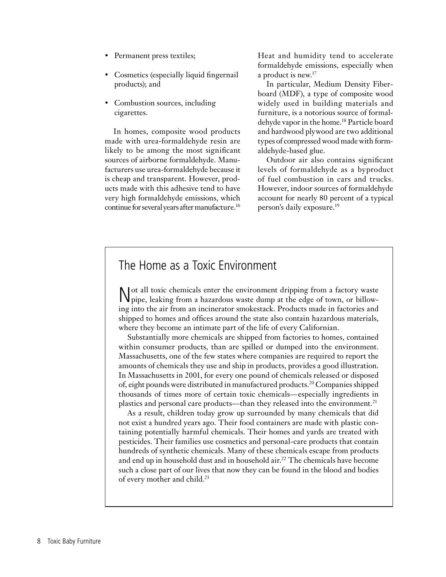- Permanent press textiles;
- Cosmetics (especially liquid fingernail products); and
- Combustion sources, including cigarettes.

In homes, composite wood products made with urea-formaldehyde resin are likely to be among the most significant sources of airborne formaldehyde. Manufacturers use urea-formaldehyde because it is cheap and transparent. However, products made with this adhesive tend to have very high formaldehyde emissions, which continue for several years after manufacture.16 Heat and humidity tend to accelerate formaldehyde emissions, especially when a product is new.<sup>17</sup>

In particular, Medium Density Fiberboard (MDF), a type of composite wood widely used in building materials and furniture, is a notorious source of formaldehyde vapor in the home.18 Particle board and hardwood plywood are two additional types of compressed wood made with formaldehyde-based glue.

Outdoor air also contains significant levels of formaldehyde as a byproduct of fuel combustion in cars and trucks. However, indoor sources of formaldehyde account for nearly 80 percent of a typical person's daily exposure.19

### The Home as a Toxic Environment

Not all toxic chemicals enter the environment dripping from a factory waste pipe, leaking from a hazardous waste dump at the edge of town, or billowing into the air from an incinerator smokestack. Products made in factories and shipped to homes and offices around the state also contain hazardous materials, where they become an intimate part of the life of every Californian.

Substantially more chemicals are shipped from factories to homes, contained within consumer products, than are spilled or dumped into the environment. Massachusetts, one of the few states where companies are required to report the amounts of chemicals they use and ship in products, provides a good illustration. In Massachusetts in 2001, for every one pound of chemicals released or disposed of, eight pounds were distributed in manufactured products.20 Companies shipped thousands of times more of certain toxic chemicals—especially ingredients in plastics and personal care products—than they released into the environment.<sup>21</sup>

As a result, children today grow up surrounded by many chemicals that did not exist a hundred years ago. Their food containers are made with plastic containing potentially harmful chemicals. Their homes and yards are treated with pesticides. Their families use cosmetics and personal-care products that contain hundreds of synthetic chemicals. Many of these chemicals escape from products and end up in household dust and in household air.<sup>22</sup> The chemicals have become such a close part of our lives that now they can be found in the blood and bodies of every mother and child.<sup>23</sup>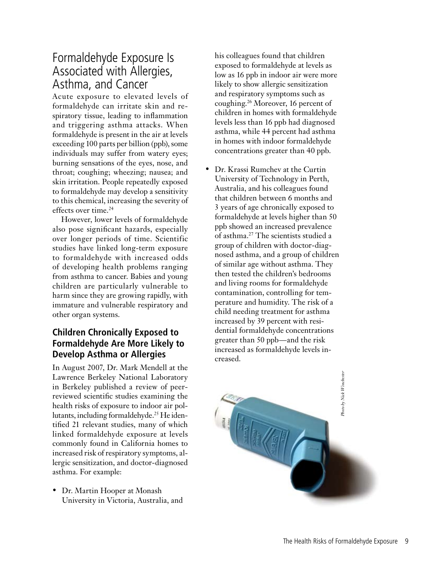## Formaldehyde Exposure Is Associated with Allergies, Asthma, and Cancer

Acute exposure to elevated levels of formaldehyde can irritate skin and respiratory tissue, leading to inflammation and triggering asthma attacks. When formaldehyde is present in the air at levels exceeding 100 parts per billion (ppb), some individuals may suffer from watery eyes; burning sensations of the eyes, nose, and throat; coughing; wheezing; nausea; and skin irritation. People repeatedly exposed to formaldehyde may develop a sensitivity to this chemical, increasing the severity of effects over time.24

However, lower levels of formaldehyde also pose significant hazards, especially over longer periods of time. Scientific studies have linked long-term exposure to formaldehyde with increased odds of developing health problems ranging from asthma to cancer. Babies and young children are particularly vulnerable to harm since they are growing rapidly, with immature and vulnerable respiratory and other organ systems.

### **Children Chronically Exposed to Formaldehyde Are More Likely to Develop Asthma or Allergies**

In August 2007, Dr. Mark Mendell at the Lawrence Berkeley National Laboratory in Berkeley published a review of peerreviewed scientific studies examining the health risks of exposure to indoor air pollutants, including formaldehyde.25 He identified 21 relevant studies, many of which linked formaldehyde exposure at levels commonly found in California homes to increased risk of respiratory symptoms, allergic sensitization, and doctor-diagnosed asthma. For example:

• Dr. Martin Hooper at Monash University in Victoria, Australia, and his colleagues found that children exposed to formaldehyde at levels as low as 16 ppb in indoor air were more likely to show allergic sensitization and respiratory symptoms such as coughing.<sup>26</sup> Moreover, 16 percent of children in homes with formaldehyde levels less than 16 ppb had diagnosed asthma, while 44 percent had asthma in homes with indoor formaldehyde concentrations greater than 40 ppb.

• Dr. Krassi Rumchev at the Curtin University of Technology in Perth, Australia, and his colleagues found that children between 6 months and 3 years of age chronically exposed to formaldehyde at levels higher than 50 ppb showed an increased prevalence of asthma.<sup>27</sup> The scientists studied a group of children with doctor-diagnosed asthma, and a group of children of similar age without asthma. They then tested the children's bedrooms and living rooms for formaldehyde contamination, controlling for temperature and humidity. The risk of a child needing treatment for asthma increased by 39 percent with residential formaldehyde concentrations greater than 50 ppb—and the risk increased as formaldehyde levels increased.

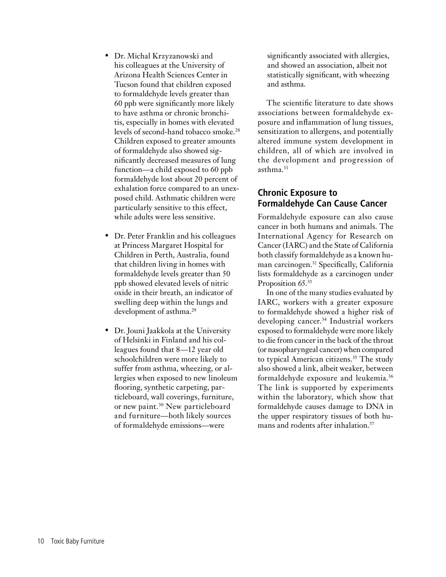- • Dr. Michal Krzyzanowski and his colleagues at the University of Arizona Health Sciences Center in Tucson found that children exposed to formaldehyde levels greater than 60 ppb were significantly more likely to have asthma or chronic bronchitis, especially in homes with elevated levels of second-hand tobacco smoke.<sup>28</sup> Children exposed to greater amounts of formaldehyde also showed significantly decreased measures of lung function—a child exposed to 60 ppb formaldehyde lost about 20 percent of exhalation force compared to an unexposed child. Asthmatic children were particularly sensitive to this effect, while adults were less sensitive.
- • Dr. Peter Franklin and his colleagues at Princess Margaret Hospital for Children in Perth, Australia, found that children living in homes with formaldehyde levels greater than 50 ppb showed elevated levels of nitric oxide in their breath, an indicator of swelling deep within the lungs and development of asthma.<sup>29</sup>
- Dr. Jouni Jaakkola at the University of Helsinki in Finland and his colleagues found that 8—12 year old schoolchildren were more likely to suffer from asthma, wheezing, or allergies when exposed to new linoleum flooring, synthetic carpeting, particleboard, wall coverings, furniture, or new paint.<sup>30</sup> New particleboard and furniture—both likely sources of formaldehyde emissions—were

significantly associated with allergies, and showed an association, albeit not statistically significant, with wheezing and asthma.

The scientific literature to date shows associations between formaldehyde exposure and inflammation of lung tissues, sensitization to allergens, and potentially altered immune system development in children, all of which are involved in the development and progression of asthma.<sup>31</sup>

### **Chronic Exposure to Formaldehyde Can Cause Cancer**

Formaldehyde exposure can also cause cancer in both humans and animals. The International Agency for Research on Cancer (IARC) and the State of California both classify formaldehyde as a known human carcinogen.32 Specifically, California lists formaldehyde as a carcinogen under Proposition 65.<sup>33</sup>

In one of the many studies evaluated by IARC, workers with a greater exposure to formaldehyde showed a higher risk of developing cancer.<sup>34</sup> Industrial workers exposed to formaldehyde were more likely to die from cancer in the back of the throat (or nasopharyngeal cancer) when compared to typical American citizens.<sup>35</sup> The study also showed a link, albeit weaker, between formaldehyde exposure and leukemia.<sup>36</sup> The link is supported by experiments within the laboratory, which show that formaldehyde causes damage to DNA in the upper respiratory tissues of both humans and rodents after inhalation.<sup>37</sup>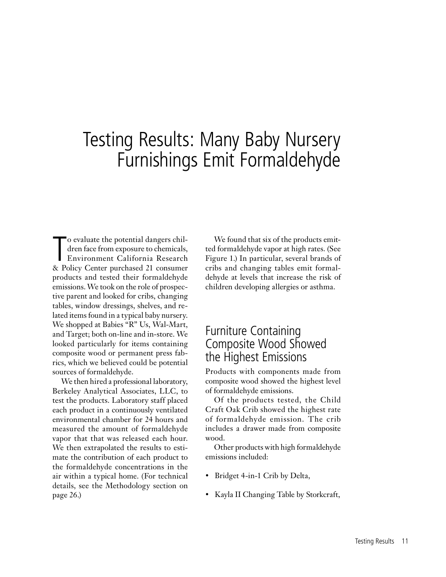## Testing Results: Many Baby Nursery Furnishings Emit Formaldehyde

To evaluate the potential dangers chil-<br>dren face from exposure to chemicals,<br>Environment California Research<br>R. Policy Center purchased 21 consumer dren face from exposure to chemicals, Environment California Research & Policy Center purchased 21 consumer products and tested their formaldehyde emissions. We took on the role of prospective parent and looked for cribs, changing tables, window dressings, shelves, and related items found in a typical baby nursery. We shopped at Babies "R" Us, Wal-Mart, and Target; both on-line and in-store. We looked particularly for items containing composite wood or permanent press fabrics, which we believed could be potential sources of formaldehyde.

We then hired a professional laboratory, Berkeley Analytical Associates, LLC, to test the products. Laboratory staff placed each product in a continuously ventilated environmental chamber for 24 hours and measured the amount of formaldehyde vapor that that was released each hour. We then extrapolated the results to estimate the contribution of each product to the formaldehyde concentrations in the air within a typical home. (For technical details, see the Methodology section on page 26.)

We found that six of the products emitted formaldehyde vapor at high rates. (See Figure 1.) In particular, several brands of cribs and changing tables emit formaldehyde at levels that increase the risk of children developing allergies or asthma.

### Furniture Containing Composite Wood Showed the Highest Emissions

Products with components made from composite wood showed the highest level of formaldehyde emissions.

Of the products tested, the Child Craft Oak Crib showed the highest rate of formaldehyde emission. The crib includes a drawer made from composite wood.

Other products with high formaldehyde emissions included:

- Bridget 4-in-1 Crib by Delta,
- Kayla II Changing Table by Storkcraft,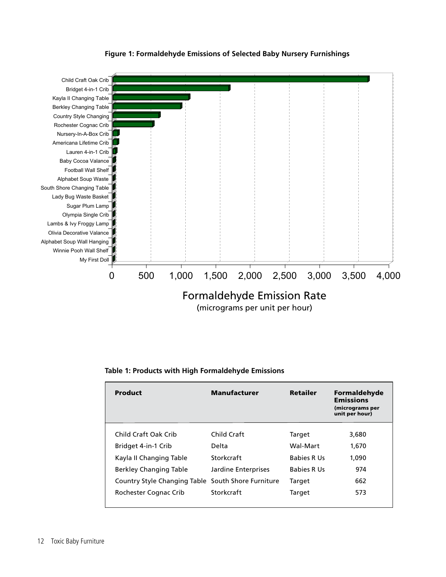

#### **Figure 1: Formaldehyde Emissions of Selected Baby Nursery Furnishings**

|  |  |  | Table 1: Products with High Formaldehyde Emissions |  |
|--|--|--|----------------------------------------------------|--|
|--|--|--|----------------------------------------------------|--|

| Product                                            | <b>Manufacturer</b> | <b>Retailer</b>    | Formaldehyde<br><b>Emissions</b><br>(micrograms per<br>unit per hour) |
|----------------------------------------------------|---------------------|--------------------|-----------------------------------------------------------------------|
| Child Craft Oak Crib                               | Child Craft         | Target             | 3,680                                                                 |
| Bridget 4-in-1 Crib                                | Delta               | Wal-Mart           | 1,670                                                                 |
| Kayla II Changing Table                            | Storkcraft          | <b>Babies R Us</b> | 1.090                                                                 |
| <b>Berkley Changing Table</b>                      | Jardine Enterprises | <b>Babies R Us</b> | 974                                                                   |
| Country Style Changing Table South Shore Furniture |                     | Target             | 662                                                                   |
| Rochester Cognac Crib                              | Storkcraft          | Target             | 573                                                                   |
|                                                    |                     |                    |                                                                       |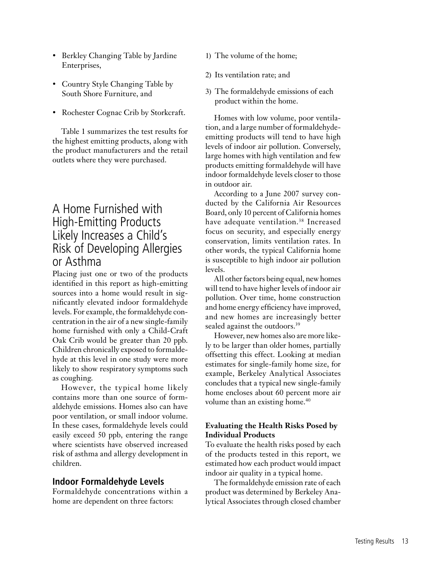- • Berkley Changing Table by Jardine Enterprises,
- Country Style Changing Table by South Shore Furniture, and
- Rochester Cognac Crib by Storkcraft.

Table 1 summarizes the test results for the highest emitting products, along with the product manufacturers and the retail outlets where they were purchased.

### A Home Furnished with High-Emitting Products Likely Increases a Child's Risk of Developing Allergies or Asthma

Placing just one or two of the products identified in this report as high-emitting sources into a home would result in significantly elevated indoor formaldehyde levels. For example, the formaldehyde concentration in the air of a new single-family home furnished with only a Child-Craft Oak Crib would be greater than 20 ppb. Children chronically exposed to formaldehyde at this level in one study were more likely to show respiratory symptoms such as coughing.

However, the typical home likely contains more than one source of formaldehyde emissions. Homes also can have poor ventilation, or small indoor volume. In these cases, formaldehyde levels could easily exceed 50 ppb, entering the range where scientists have observed increased risk of asthma and allergy development in children.

### **Indoor Formaldehyde Levels**

Formaldehyde concentrations within a home are dependent on three factors:

- 1) The volume of the home;
- 2) Its ventilation rate; and
- 3) The formaldehyde emissions of each product within the home.

Homes with low volume, poor ventilation, and a large number of formaldehydeemitting products will tend to have high levels of indoor air pollution. Conversely, large homes with high ventilation and few products emitting formaldehyde will have indoor formaldehyde levels closer to those in outdoor air.

According to a June 2007 survey conducted by the California Air Resources Board, only 10 percent of California homes have adequate ventilation.<sup>38</sup> Increased focus on security, and especially energy conservation, limits ventilation rates. In other words, the typical California home is susceptible to high indoor air pollution levels.

All other factors being equal, new homes will tend to have higher levels of indoor air pollution. Over time, home construction and home energy efficiency have improved, and new homes are increasingly better sealed against the outdoors.<sup>39</sup>

However, new homes also are more likely to be larger than older homes, partially offsetting this effect. Looking at median estimates for single-family home size, for example, Berkeley Analytical Associates concludes that a typical new single-family home encloses about 60 percent more air volume than an existing home.<sup>40</sup>

#### **Evaluating the Health Risks Posed by Individual Products**

To evaluate the health risks posed by each of the products tested in this report, we estimated how each product would impact indoor air quality in a typical home.

The formaldehyde emission rate of each product was determined by Berkeley Analytical Associates through closed chamber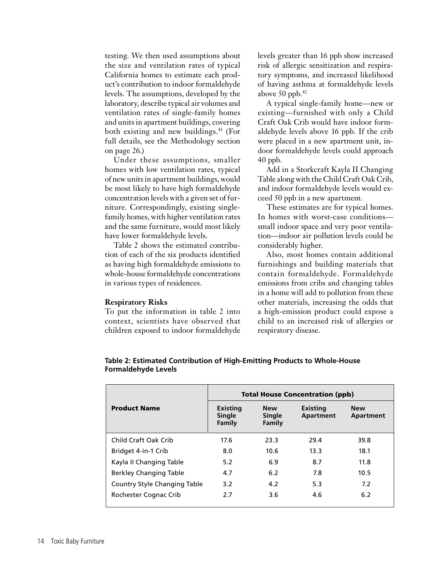testing. We then used assumptions about the size and ventilation rates of typical California homes to estimate each product's contribution to indoor formaldehyde levels. The assumptions, developed by the laboratory, describe typical air volumes and ventilation rates of single-family homes and units in apartment buildings, covering both existing and new buildings.<sup>41</sup> (For full details, see the Methodology section on page 26.)

Under these assumptions, smaller homes with low ventilation rates, typical of new units in apartment buildings, would be most likely to have high formaldehyde concentration levels with a given set of furniture. Correspondingly, existing singlefamily homes, with higher ventilation rates and the same furniture, would most likely have lower formaldehyde levels.

Table 2 shows the estimated contribution of each of the six products identified as having high formaldehyde emissions to whole-house formaldehyde concentrations in various types of residences.

#### **Respiratory Risks**

To put the information in table 2 into context, scientists have observed that children exposed to indoor formaldehyde levels greater than 16 ppb show increased risk of allergic sensitization and respiratory symptoms, and increased likelihood of having asthma at formaldehyde levels above 50 ppb. $42$ 

A typical single-family home—new or existing—furnished with only a Child Craft Oak Crib would have indoor formaldehyde levels above 16 ppb. If the crib were placed in a new apartment unit, indoor formaldehyde levels could approach 40 ppb.

Add in a Storkcraft Kayla II Changing Table along with the Child Craft Oak Crib, and indoor formaldehyde levels would exceed 50 ppb in a new apartment.

These estimates are for typical homes. In homes with worst-case conditions small indoor space and very poor ventilation—indoor air pollution levels could be considerably higher.

Also, most homes contain additional furnishings and building materials that contain formaldehyde. Formaldehyde emissions from cribs and changing tables in a home will add to pollution from these other materials, increasing the odds that a high-emission product could expose a child to an increased risk of allergies or respiratory disease.

|                                     | <b>Total House Concentration (ppb)</b> |                                       |                       |                         |  |  |  |
|-------------------------------------|----------------------------------------|---------------------------------------|-----------------------|-------------------------|--|--|--|
| <b>Product Name</b>                 | Existing<br><b>Single</b><br>Family    | <b>New</b><br><b>Single</b><br>Family | Existing<br>Apartment | <b>New</b><br>Apartment |  |  |  |
| Child Craft Oak Crib                | 17.6                                   | 23.3                                  | 29.4                  | 39.8                    |  |  |  |
| Bridget 4-in-1 Crib                 | 8.0                                    | 10.6                                  | 13.3                  | 18.1                    |  |  |  |
| Kayla II Changing Table             | 5.2                                    | 6.9                                   | 8.7                   | 11.8                    |  |  |  |
| <b>Berkley Changing Table</b>       | 4.7                                    | 6.2                                   | 7.8                   | 10.5                    |  |  |  |
| <b>Country Style Changing Table</b> | 3.2                                    | 4.2                                   | 5.3                   | 7.2                     |  |  |  |
| Rochester Cognac Crib               | 2.7                                    | 3.6                                   | 4.6                   | 6.2                     |  |  |  |

**Table 2: Estimated Contribution of High-Emitting Products to Whole-House Formaldehyde Levels**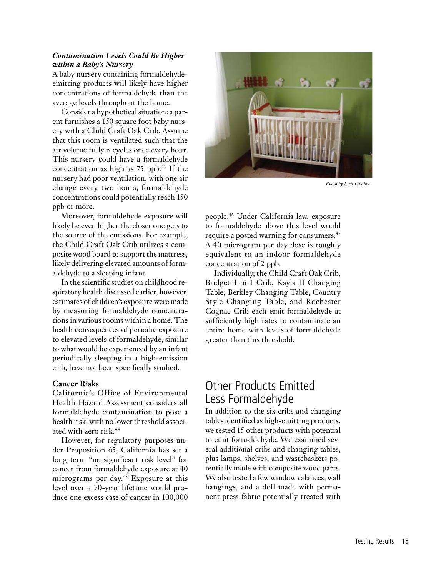#### *Contamination Levels Could Be Higher within a Baby's Nursery*

A baby nursery containing formaldehydeemitting products will likely have higher concentrations of formaldehyde than the average levels throughout the home.

Consider a hypothetical situation: a parent furnishes a 150 square foot baby nursery with a Child Craft Oak Crib. Assume that this room is ventilated such that the air volume fully recycles once every hour. This nursery could have a formaldehyde concentration as high as 75 ppb.<sup>43</sup> If the nursery had poor ventilation, with one air change every two hours, formaldehyde concentrations could potentially reach 150 ppb or more.

Moreover, formaldehyde exposure will likely be even higher the closer one gets to the source of the emissions. For example, the Child Craft Oak Crib utilizes a composite wood board to support the mattress, likely delivering elevated amounts of formaldehyde to a sleeping infant.

In the scientific studies on childhood respiratory health discussed earlier, however, estimates of children's exposure were made by measuring formaldehyde concentrations in various rooms within a home. The health consequences of periodic exposure to elevated levels of formaldehyde, similar to what would be experienced by an infant periodically sleeping in a high-emission crib, have not been specifically studied.

#### **Cancer Risks**

California's Office of Environmental Health Hazard Assessment considers all formaldehyde contamination to pose a health risk, with no lower threshold associated with zero risk.44

However, for regulatory purposes under Proposition 65, California has set a long-term "no significant risk level" for cancer from formaldehyde exposure at 40 micrograms per day.45 Exposure at this level over a 70-year lifetime would produce one excess case of cancer in 100,000



*Photo by Levi Gruber*

people.46 Under California law, exposure to formaldehyde above this level would require a posted warning for consumers.47 A 40 microgram per day dose is roughly equivalent to an indoor formaldehyde concentration of 2 ppb.

Individually, the Child Craft Oak Crib, Bridget 4-in-1 Crib, Kayla II Changing Table, Berkley Changing Table, Country Style Changing Table, and Rochester Cognac Crib each emit formaldehyde at sufficiently high rates to contaminate an entire home with levels of formaldehyde greater than this threshold.

## Other Products Emitted Less Formaldehyde

In addition to the six cribs and changing tables identified as high-emitting products, we tested 15 other products with potential to emit formaldehyde. We examined several additional cribs and changing tables, plus lamps, shelves, and wastebaskets potentially made with composite wood parts. We also tested a few window valances, wall hangings, and a doll made with permanent-press fabric potentially treated with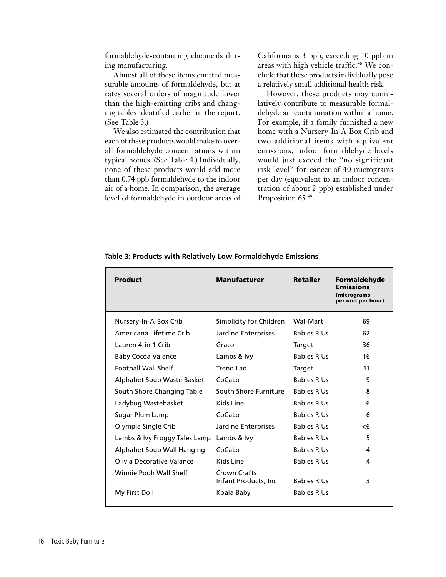formaldehyde-containing chemicals during manufacturing.

Almost all of these items emitted measurable amounts of formaldehyde, but at rates several orders of magnitude lower than the high-emitting cribs and changing tables identified earlier in the report. (See Table 3.)

We also estimated the contribution that each of these products would make to overall formaldehyde concentrations within typical homes. (See Table 4.) Individually, none of these products would add more than 0.74 ppb formaldehyde to the indoor air of a home. In comparison, the average level of formaldehyde in outdoor areas of California is 3 ppb, exceeding 10 ppb in areas with high vehicle traffic.<sup>48</sup> We conclude that these products individually pose a relatively small additional health risk.

However, these products may cumulatively contribute to measurable formaldehyde air contamination within a home. For example, if a family furnished a new home with a Nursery-In-A-Box Crib and two additional items with equivalent emissions, indoor formaldehyde levels would just exceed the "no significant risk level" for cancer of 40 micrograms per day (equivalent to an indoor concentration of about 2 ppb) established under Proposition 65.49

| <b>Product</b>                | <b>Manufacturer</b>                   | <b>Retailer</b>    | Formaldehyde<br><b>Emissions</b><br>(micrograms<br>per unit per hour) |
|-------------------------------|---------------------------------------|--------------------|-----------------------------------------------------------------------|
| Nursery-In-A-Box Crib         | Simplicity for Children               | Wal-Mart           | 69                                                                    |
| Americana Lifetime Crib       | Jardine Enterprises                   | <b>Babies R Us</b> | 62                                                                    |
| Lauren 4-in-1 Crib            | Graco                                 | Target             | 36                                                                    |
| <b>Baby Cocoa Valance</b>     | Lambs & Ivy                           | <b>Babies R Us</b> | 16                                                                    |
| <b>Football Wall Shelf</b>    | Trend Lad                             | Target             | 11                                                                    |
| Alphabet Soup Waste Basket    | CoCaLo                                | <b>Babies R Us</b> | 9                                                                     |
| South Shore Changing Table    | South Shore Furniture                 | <b>Babies R Us</b> | 8                                                                     |
| Ladybug Wastebasket           | Kids Line                             | <b>Babies R Us</b> | 6                                                                     |
| Sugar Plum Lamp               | CoCaLo                                | <b>Babies R Us</b> | 6                                                                     |
| Olympia Single Crib           | Jardine Enterprises                   | <b>Babies R Us</b> | -6                                                                    |
| Lambs & Ivy Froggy Tales Lamp | Lambs & Ivy                           | <b>Babies R Us</b> | 5                                                                     |
| Alphabet Soup Wall Hanging    | CoCaLo                                | <b>Babies R Us</b> | 4                                                                     |
| Olivia Decorative Valance     | Kids Line                             | <b>Babies R Us</b> | 4                                                                     |
| Winnie Pooh Wall Shelf        | Crown Crafts<br>Infant Products, Inc. | <b>Babies R Us</b> | 3                                                                     |
| My First Doll                 | Koala Baby                            | <b>Babies R Us</b> |                                                                       |

**Table 3: Products with Relatively Low Formaldehyde Emissions**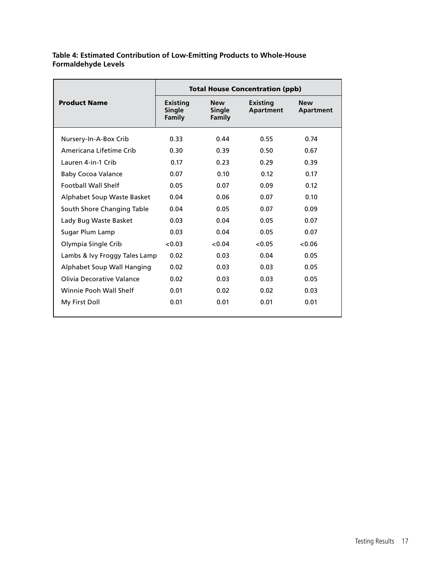#### **Table 4: Estimated Contribution of Low-Emitting Products to Whole-House Formaldehyde Levels**

| <b>Total House Concentration (ppb)</b> |                                     |                                       |                              |                         |  |
|----------------------------------------|-------------------------------------|---------------------------------------|------------------------------|-------------------------|--|
| <b>Product Name</b>                    | Existing<br><b>Single</b><br>Family | <b>New</b><br><b>Single</b><br>Family | Existing<br><b>Apartment</b> | <b>New</b><br>Apartment |  |
| Nursery-In-A-Box Crib                  | 0.33                                | 0.44                                  | 0.55                         | 0.74                    |  |
| Americana Lifetime Crib                | 0.30                                | 0.39                                  | 0.50                         | 0.67                    |  |
| Lauren 4-in-1 Crib                     | 0.17                                | 0.23                                  | 0.29                         | 0.39                    |  |
| Baby Cocoa Valance                     | 0.07                                | 0.10                                  | 0.12                         | 0.17                    |  |
| <b>Football Wall Shelf</b>             | 0.05                                | 0.07                                  | 0.09                         | 0.12                    |  |
| Alphabet Soup Waste Basket             | 0.04                                | 0.06                                  | 0.07                         | 0.10                    |  |
| South Shore Changing Table             | 0.04                                | 0.05                                  | 0.07                         | 0.09                    |  |
| Lady Bug Waste Basket                  | 0.03                                | 0.04                                  | 0.05                         | 0.07                    |  |
| Sugar Plum Lamp                        | 0.03                                | 0.04                                  | 0.05                         | 0.07                    |  |
| Olympia Single Crib                    | < 0.03                              | < 0.04                                | < 0.05                       | < 0.06                  |  |
| Lambs & Ivy Froggy Tales Lamp          | 0.02                                | 0.03                                  | 0.04                         | 0.05                    |  |
| Alphabet Soup Wall Hanging             | 0.02                                | 0.03                                  | 0.03                         | 0.05                    |  |
| Olivia Decorative Valance              | 0.02                                | 0.03                                  | 0.03                         | 0.05                    |  |
| Winnie Pooh Wall Shelf                 | 0.01                                | 0.02                                  | 0.02                         | 0.03                    |  |
| My First Doll                          | 0.01                                | 0.01                                  | 0.01                         | 0.01                    |  |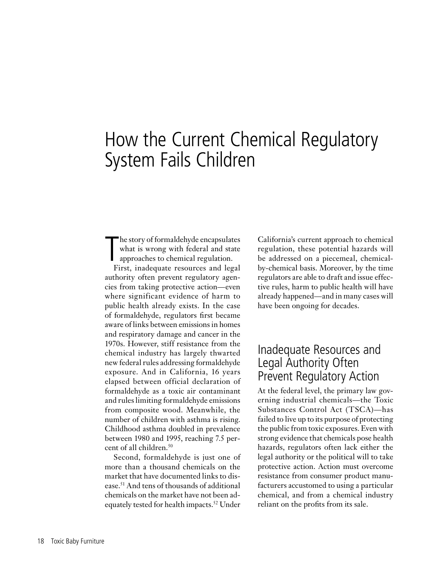## How the Current Chemical Regulatory System Fails Children

T<sub>E</sub> he story of formaldehyde encapsulates what is wrong with federal and state approaches to chemical regulation.

First, inadequate resources and legal authority often prevent regulatory agencies from taking protective action—even where significant evidence of harm to public health already exists. In the case of formaldehyde, regulators first became aware of links between emissions in homes and respiratory damage and cancer in the 1970s. However, stiff resistance from the chemical industry has largely thwarted new federal rules addressing formaldehyde exposure. And in California, 16 years elapsed between official declaration of formaldehyde as a toxic air contaminant and rules limiting formaldehyde emissions from composite wood. Meanwhile, the number of children with asthma is rising. Childhood asthma doubled in prevalence between 1980 and 1995, reaching 7.5 percent of all children.<sup>50</sup>

Second, formaldehyde is just one of more than a thousand chemicals on the market that have documented links to disease.51 And tens of thousands of additional chemicals on the market have not been adequately tested for health impacts.<sup>52</sup> Under

California's current approach to chemical regulation, these potential hazards will be addressed on a piecemeal, chemicalby-chemical basis. Moreover, by the time regulators are able to draft and issue effective rules, harm to public health will have already happened—and in many cases will have been ongoing for decades.

### Inadequate Resources and Legal Authority Often Prevent Regulatory Action

At the federal level, the primary law governing industrial chemicals—the Toxic Substances Control Act (TSCA)—has failed to live up to its purpose of protecting the public from toxic exposures. Even with strong evidence that chemicals pose health hazards, regulators often lack either the legal authority or the political will to take protective action. Action must overcome resistance from consumer product manufacturers accustomed to using a particular chemical, and from a chemical industry reliant on the profits from its sale.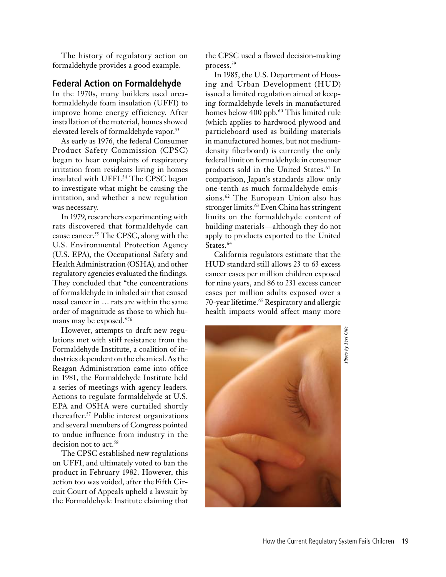The history of regulatory action on formaldehyde provides a good example.

#### **Federal Action on Formaldehyde**

In the 1970s, many builders used ureaformaldehyde foam insulation (UFFI) to improve home energy efficiency. After installation of the material, homes showed elevated levels of formaldehyde vapor.<sup>53</sup>

As early as 1976, the federal Consumer Product Safety Commission (CPSC) began to hear complaints of respiratory irritation from residents living in homes insulated with UFFI.<sup>54</sup> The CPSC began to investigate what might be causing the irritation, and whether a new regulation was necessary.

In 1979, researchers experimenting with rats discovered that formaldehyde can cause cancer.55 The CPSC, along with the U.S. Environmental Protection Agency (U.S. EPA), the Occupational Safety and Health Administration (OSHA), and other regulatory agencies evaluated the findings. They concluded that "the concentrations of formaldehyde in inhaled air that caused nasal cancer in … rats are within the same order of magnitude as those to which humans may be exposed."56

However, attempts to draft new regulations met with stiff resistance from the Formaldehyde Institute, a coalition of industries dependent on the chemical. As the Reagan Administration came into office in 1981, the Formaldehyde Institute held a series of meetings with agency leaders. Actions to regulate formaldehyde at U.S. EPA and OSHA were curtailed shortly thereafter.57 Public interest organizations and several members of Congress pointed to undue influence from industry in the decision not to act.<sup>58</sup>

The CPSC established new regulations on UFFI, and ultimately voted to ban the product in February 1982. However, this action too was voided, after the Fifth Circuit Court of Appeals upheld a lawsuit by the Formaldehyde Institute claiming that the CPSC used a flawed decision-making process.59

In 1985, the U.S. Department of Housing and Urban Development (HUD) issued a limited regulation aimed at keeping formaldehyde levels in manufactured homes below 400 ppb.<sup>60</sup> This limited rule (which applies to hardwood plywood and particleboard used as building materials in manufactured homes, but not mediumdensity fiberboard) is currently the only federal limit on formaldehyde in consumer products sold in the United States.<sup>61</sup> In comparison, Japan's standards allow only one-tenth as much formaldehyde emissions.<sup>62</sup> The European Union also has stronger limits.<sup>63</sup> Even China has stringent limits on the formaldehyde content of building materials—although they do not apply to products exported to the United States.<sup>64</sup>

California regulators estimate that the HUD standard still allows 23 to 63 excess cancer cases per million children exposed for nine years, and 86 to 231 excess cancer cases per million adults exposed over a 70-year lifetime.<sup>65</sup> Respiratory and allergic health impacts would affect many more



*Photo by Teri Olle*Photo by Teri Oll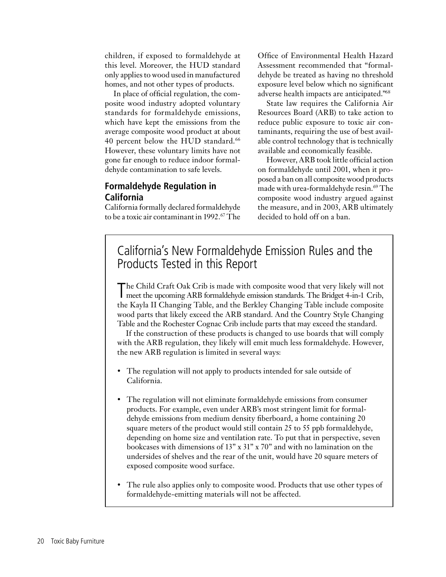children, if exposed to formaldehyde at this level. Moreover, the HUD standard only applies to wood used in manufactured homes, and not other types of products.

In place of official regulation, the composite wood industry adopted voluntary standards for formaldehyde emissions, which have kept the emissions from the average composite wood product at about 40 percent below the HUD standard.<sup>66</sup> However, these voluntary limits have not gone far enough to reduce indoor formaldehyde contamination to safe levels.

### **Formaldehyde Regulation in California**

California formally declared formaldehyde to be a toxic air contaminant in 1992.<sup>67</sup> The

Office of Environmental Health Hazard Assessment recommended that "formaldehyde be treated as having no threshold exposure level below which no significant adverse health impacts are anticipated."68

State law requires the California Air Resources Board (ARB) to take action to reduce public exposure to toxic air contaminants, requiring the use of best available control technology that is technically available and economically feasible.

However, ARB took little official action on formaldehyde until 2001, when it proposed a ban on all composite wood products made with urea-formaldehyde resin.<sup>69</sup> The composite wood industry argued against the measure, and in 2003, ARB ultimately decided to hold off on a ban.

## California's New Formaldehyde Emission Rules and the Products Tested in this Report

T he Child Craft Oak Crib is made with composite wood that very likely will not meet the upcoming ARB formaldehyde emission standards. The Bridget 4-in-1 Crib, the Kayla II Changing Table, and the Berkley Changing Table include composite wood parts that likely exceed the ARB standard. And the Country Style Changing Table and the Rochester Cognac Crib include parts that may exceed the standard.

If the construction of these products is changed to use boards that will comply with the ARB regulation, they likely will emit much less formaldehyde. However, the new ARB regulation is limited in several ways:

- The regulation will not apply to products intended for sale outside of California.
- The regulation will not eliminate formaldehyde emissions from consumer products. For example, even under ARB's most stringent limit for formaldehyde emissions from medium density fiberboard, a home containing 20 square meters of the product would still contain 25 to 55 ppb formaldehyde, depending on home size and ventilation rate. To put that in perspective, seven bookcases with dimensions of 13" x 31" x 70" and with no lamination on the undersides of shelves and the rear of the unit, would have 20 square meters of exposed composite wood surface.
- The rule also applies only to composite wood. Products that use other types of formaldehyde-emitting materials will not be affected.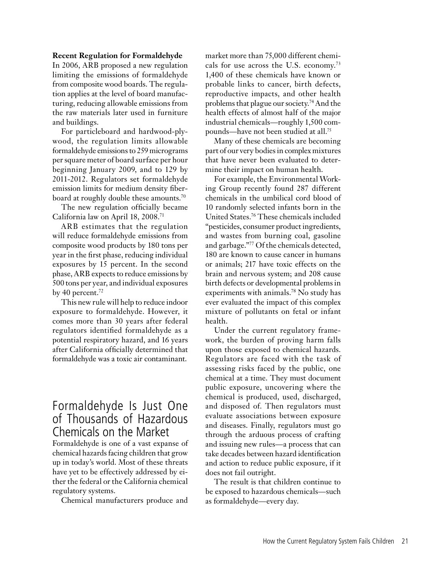#### **Recent Regulation for Formaldehyde**

In 2006, ARB proposed a new regulation limiting the emissions of formaldehyde from composite wood boards. The regulation applies at the level of board manufacturing, reducing allowable emissions from the raw materials later used in furniture and buildings.

For particleboard and hardwood-plywood, the regulation limits allowable formaldehyde emissions to 259 micrograms per square meter of board surface per hour beginning January 2009, and to 129 by 2011-2012. Regulators set formaldehyde emission limits for medium density fiberboard at roughly double these amounts.<sup>70</sup>

The new regulation officially became California law on April 18, 2008.71

ARB estimates that the regulation will reduce formaldehyde emissions from composite wood products by 180 tons per year in the first phase, reducing individual exposures by 15 percent. In the second phase, ARB expects to reduce emissions by 500 tons per year, and individual exposures by 40 percent. $72$ 

This new rule will help to reduce indoor exposure to formaldehyde. However, it comes more than 30 years after federal regulators identified formaldehyde as a potential respiratory hazard, and 16 years after California officially determined that formaldehyde was a toxic air contaminant.

### Formaldehyde Is Just One of Thousands of Hazardous Chemicals on the Market

Formaldehyde is one of a vast expanse of chemical hazards facing children that grow up in today's world. Most of these threats have yet to be effectively addressed by either the federal or the California chemical regulatory systems.

Chemical manufacturers produce and

market more than 75,000 different chemicals for use across the U.S. economy.73 1,400 of these chemicals have known or probable links to cancer, birth defects, reproductive impacts, and other health problems that plague our society.74 And the health effects of almost half of the major industrial chemicals—roughly 1,500 compounds—have not been studied at all.75

Many of these chemicals are becoming part of our very bodies in complex mixtures that have never been evaluated to determine their impact on human health.

For example, the Environmental Working Group recently found 287 different chemicals in the umbilical cord blood of 10 randomly selected infants born in the United States.76 These chemicals included "pesticides, consumer product ingredients, and wastes from burning coal, gasoline and garbage."77 Of the chemicals detected, 180 are known to cause cancer in humans or animals; 217 have toxic effects on the brain and nervous system; and 208 cause birth defects or developmental problems in experiments with animals.78 No study has ever evaluated the impact of this complex mixture of pollutants on fetal or infant health.

Under the current regulatory framework, the burden of proving harm falls upon those exposed to chemical hazards. Regulators are faced with the task of assessing risks faced by the public, one chemical at a time. They must document public exposure, uncovering where the chemical is produced, used, discharged, and disposed of. Then regulators must evaluate associations between exposure and diseases. Finally, regulators must go through the arduous process of crafting and issuing new rules—a process that can take decades between hazard identification and action to reduce public exposure, if it does not fail outright.

The result is that children continue to be exposed to hazardous chemicals—such as formaldehyde—every day.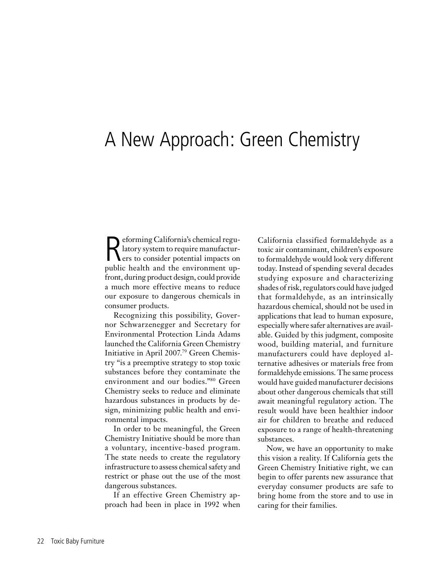## A New Approach: Green Chemistry

Reforming California's chemical regu-<br>
latory system to require manufactur-<br>
ers to consider potential impacts on latory system to require manufacturers to consider potential impacts on public health and the environment upfront, during product design, could provide a much more effective means to reduce our exposure to dangerous chemicals in consumer products.

Recognizing this possibility, Governor Schwarzenegger and Secretary for Environmental Protection Linda Adams launched the California Green Chemistry Initiative in April 2007.79 Green Chemistry "is a preemptive strategy to stop toxic substances before they contaminate the environment and our bodies."80 Green Chemistry seeks to reduce and eliminate hazardous substances in products by design, minimizing public health and environmental impacts.

In order to be meaningful, the Green Chemistry Initiative should be more than a voluntary, incentive-based program. The state needs to create the regulatory infrastructure to assess chemical safety and restrict or phase out the use of the most dangerous substances.

If an effective Green Chemistry approach had been in place in 1992 when California classified formaldehyde as a toxic air contaminant, children's exposure to formaldehyde would look very different today. Instead of spending several decades studying exposure and characterizing shades of risk, regulators could have judged that formaldehyde, as an intrinsically hazardous chemical, should not be used in applications that lead to human exposure, especially where safer alternatives are available. Guided by this judgment, composite wood, building material, and furniture manufacturers could have deployed alternative adhesives or materials free from formaldehyde emissions. The same process would have guided manufacturer decisions about other dangerous chemicals that still await meaningful regulatory action. The result would have been healthier indoor air for children to breathe and reduced exposure to a range of health-threatening substances.

Now, we have an opportunity to make this vision a reality. If California gets the Green Chemistry Initiative right, we can begin to offer parents new assurance that everyday consumer products are safe to bring home from the store and to use in caring for their families.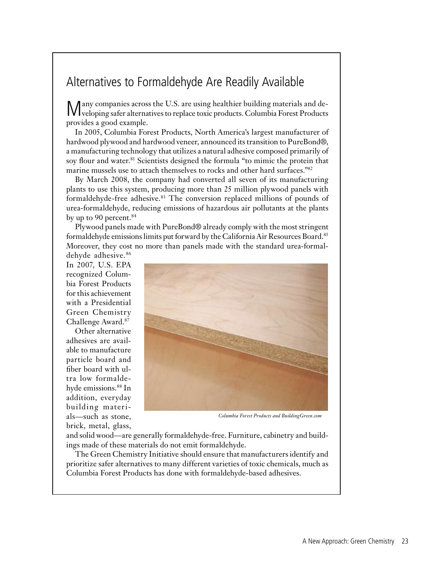## Alternatives to Formaldehyde Are Readily Available

Many companies across the U.S. are using healthier building materials and developing safer alternatives to replace toxic products. Columbia Forest Products provides a good example.

In 2005, Columbia Forest Products, North America's largest manufacturer of hardwood plywood and hardwood veneer, announced its transition to PureBond®, a manufacturing technology that utilizes a natural adhesive composed primarily of soy flour and water.<sup>81</sup> Scientists designed the formula "to mimic the protein that marine mussels use to attach themselves to rocks and other hard surfaces."82

By March 2008, the company had converted all seven of its manufacturing plants to use this system, producing more than 25 million plywood panels with formaldehyde-free adhesive.83 The conversion replaced millions of pounds of urea-formaldehyde, reducing emissions of hazardous air pollutants at the plants by up to 90 percent. $84$ 

Plywood panels made with PureBond® already comply with the most stringent formaldehyde emissions limits put forward by the California Air Resources Board.85 Moreover, they cost no more than panels made with the standard urea-formal-

dehyde adhesive.<sup>86</sup> In 2007, U.S. EPA recognized Columbia Forest Products for this achievement with a Presidential Green Chemistry Challenge Award.87

Other alternative adhesives are available to manufacture particle board and fiber board with ultra low formaldehyde emissions.88 In addition, everyday building materials—such as stone, brick, metal, glass,



*Columbia Forest Products and BuildingGreen.com*

and solid wood—are generally formaldehyde-free. Furniture, cabinetry and buildings made of these materials do not emit formaldehyde.

The Green Chemistry Initiative should ensure that manufacturers identify and prioritize safer alternatives to many different varieties of toxic chemicals, much as Columbia Forest Products has done with formaldehyde-based adhesives.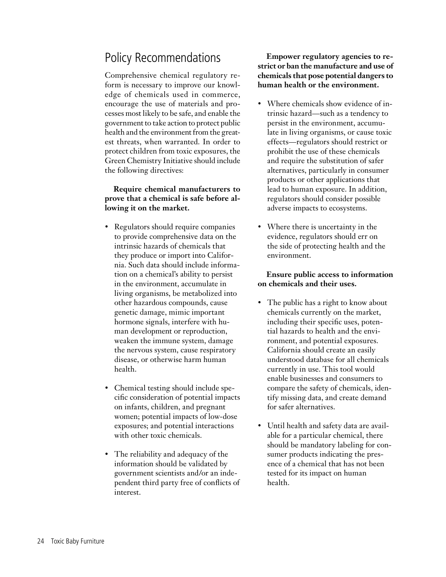## Policy Recommendations

Comprehensive chemical regulatory reform is necessary to improve our knowledge of chemicals used in commerce, encourage the use of materials and processes most likely to be safe, and enable the government to take action to protect public health and the environment from the greatest threats, when warranted. In order to protect children from toxic exposures, the Green Chemistry Initiative should include the following directives:

#### **Require chemical manufacturers to prove that a chemical is safe before allowing it on the market.**

- Regulators should require companies to provide comprehensive data on the intrinsic hazards of chemicals that they produce or import into California. Such data should include information on a chemical's ability to persist in the environment, accumulate in living organisms, be metabolized into other hazardous compounds, cause genetic damage, mimic important hormone signals, interfere with human development or reproduction, weaken the immune system, damage the nervous system, cause respiratory disease, or otherwise harm human health.
- Chemical testing should include specific consideration of potential impacts on infants, children, and pregnant women; potential impacts of low-dose exposures; and potential interactions with other toxic chemicals.
- The reliability and adequacy of the information should be validated by government scientists and/or an independent third party free of conflicts of interest.

**Empower regulatory agencies to restrict or ban the manufacture and use of chemicals that pose potential dangers to human health or the environment.**

- Where chemicals show evidence of intrinsic hazard—such as a tendency to persist in the environment, accumulate in living organisms, or cause toxic effects—regulators should restrict or prohibit the use of these chemicals and require the substitution of safer alternatives, particularly in consumer products or other applications that lead to human exposure. In addition, regulators should consider possible adverse impacts to ecosystems.
- Where there is uncertainty in the evidence, regulators should err on the side of protecting health and the environment.

### **Ensure public access to information on chemicals and their uses.**

- The public has a right to know about chemicals currently on the market, including their specific uses, potential hazards to health and the environment, and potential exposures. California should create an easily understood database for all chemicals currently in use. This tool would enable businesses and consumers to compare the safety of chemicals, identify missing data, and create demand for safer alternatives.
- • Until health and safety data are available for a particular chemical, there should be mandatory labeling for consumer products indicating the presence of a chemical that has not been tested for its impact on human health.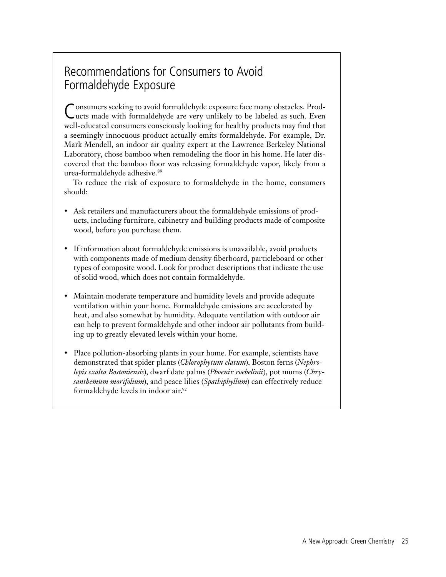## Recommendations for Consumers to Avoid Formaldehyde Exposure

Consumers seeking to avoid formaldehyde exposure face many obstacles. Prod-ucts made with formaldehyde are very unlikely to be labeled as such. Even well-educated consumers consciously looking for healthy products may find that a seemingly innocuous product actually emits formaldehyde. For example, Dr. Mark Mendell, an indoor air quality expert at the Lawrence Berkeley National Laboratory, chose bamboo when remodeling the floor in his home. He later discovered that the bamboo floor was releasing formaldehyde vapor, likely from a urea-formaldehyde adhesive.89

To reduce the risk of exposure to formaldehyde in the home, consumers should:

- Ask retailers and manufacturers about the formaldehyde emissions of products, including furniture, cabinetry and building products made of composite wood, before you purchase them.
- If information about formaldehyde emissions is unavailable, avoid products with components made of medium density fiberboard, particleboard or other types of composite wood. Look for product descriptions that indicate the use of solid wood, which does not contain formaldehyde.
- Maintain moderate temperature and humidity levels and provide adequate ventilation within your home. Formaldehyde emissions are accelerated by heat, and also somewhat by humidity. Adequate ventilation with outdoor air can help to prevent formaldehyde and other indoor air pollutants from building up to greatly elevated levels within your home.
- Place pollution-absorbing plants in your home. For example, scientists have demonstrated that spider plants (*Chlorophytum elatum*), Boston ferns (*Nephrolepis exalta Bostoniensis*), dwarf date palms (*Phoenix roebelinii*), pot mums (*Chrysanthemum morifolium*), and peace lilies (*Spathiphyllum*) can effectively reduce formaldehyde levels in indoor air.92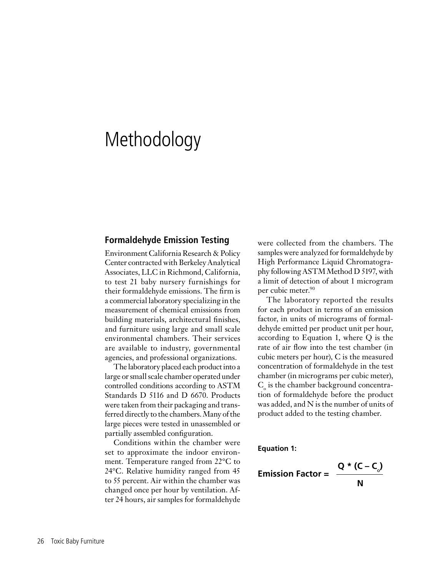## Methodology

#### **Formaldehyde Emission Testing**

Environment California Research & Policy Center contracted with Berkeley Analytical Associates, LLC in Richmond, California, to test 21 baby nursery furnishings for their formaldehyde emissions. The firm is a commercial laboratory specializing in the measurement of chemical emissions from building materials, architectural finishes, and furniture using large and small scale environmental chambers. Their services are available to industry, governmental agencies, and professional organizations.

The laboratory placed each product into a large or small scale chamber operated under controlled conditions according to ASTM Standards D 5116 and D 6670. Products were taken from their packaging and transferred directly to the chambers. Many of the large pieces were tested in unassembled or partially assembled configuration.

Conditions within the chamber were set to approximate the indoor environment. Temperature ranged from 22°C to 24°C. Relative humidity ranged from 45 to 55 percent. Air within the chamber was changed once per hour by ventilation. After 24 hours, air samples for formaldehyde were collected from the chambers. The samples were analyzed for formaldehyde by High Performance Liquid Chromatography following ASTM Method D 5197, with a limit of detection of about 1 microgram per cubic meter.<sup>90</sup>

The laboratory reported the results for each product in terms of an emission factor, in units of micrograms of formaldehyde emitted per product unit per hour, according to Equation 1, where Q is the rate of air flow into the test chamber (in cubic meters per hour), C is the measured concentration of formaldehyde in the test chamber (in micrograms per cubic meter),  $\mathsf{C}_\circ$  is the chamber background concentration of formaldehyde before the product was added, and N is the number of units of product added to the testing chamber.

**Equation 1:**

$$
Emission Factor = \frac{Q * (C - C_{o})}{N}
$$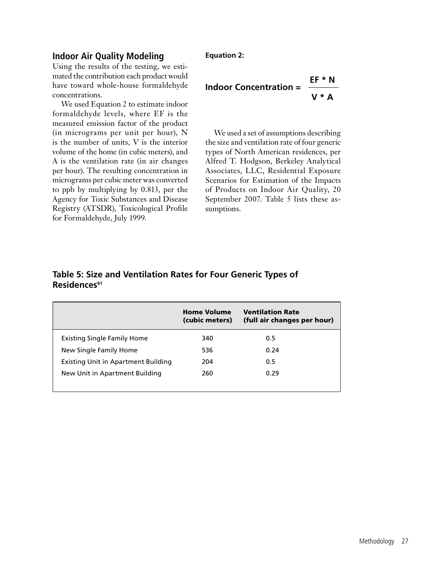### **Indoor Air Quality Modeling**

Using the results of the testing, we estimated the contribution each product would have toward whole-house formaldehyde concentrations.

We used Equation 2 to estimate indoor formaldehyde levels, where EF is the measured emission factor of the product (in micrograms per unit per hour), N is the number of units, V is the interior volume of the home (in cubic meters), and A is the ventilation rate (in air changes per hour). The resulting concentration in micrograms per cubic meter was converted to ppb by multiplying by 0.813, per the Agency for Toxic Substances and Disease Registry (ATSDR), Toxicological Profile for Formaldehyde, July 1999.

#### **Equation 2:**

#### **Indoor Concentration = EF \* N V \* A**

We used a set of assumptions describing the size and ventilation rate of four generic types of North American residences, per Alfred T. Hodgson, Berkeley Analytical Associates, LLC, Residential Exposure Scenarios for Estimation of the Impacts of Products on Indoor Air Quality, 20 September 2007. Table 5 lists these assumptions.

#### **Table 5: Size and Ventilation Rates for Four Generic Types of Residences91**

|                                            | <b>Home Volume</b><br>(cubic meters) | <b>Ventilation Rate</b><br>(full air changes per hour) |
|--------------------------------------------|--------------------------------------|--------------------------------------------------------|
| <b>Existing Single Family Home</b>         | 340                                  | 0.5                                                    |
| New Single Family Home                     | 536                                  | 0.24                                                   |
| <b>Existing Unit in Apartment Building</b> | 204                                  | 0.5                                                    |
| New Unit in Apartment Building             | 260                                  | 0.29                                                   |
|                                            |                                      |                                                        |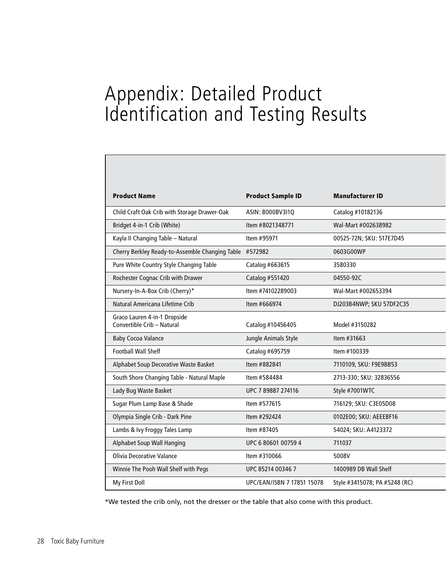## Appendix: Detailed Product Identification and Testing Results

| <b>Product Name</b>                                        | <b>Product Sample ID</b>   | <b>Manufacturer ID</b>        |
|------------------------------------------------------------|----------------------------|-------------------------------|
| Child Craft Oak Crib with Storage Drawer-Oak               | ASIN: B000BV3I1Q           | Catalog #10182136             |
| Bridget 4-in-1 Crib (White)                                | Item #8021348771           | Wal-Mart #002638982           |
| Kayla II Changing Table - Natural                          | Item #95971                | 00525-72N; SKU: 517E7D45      |
| Cherry Berkley Ready-to-Assemble Changing Table #572982    |                            | 0603G00WP                     |
| Pure White Country Style Changing Table                    | Catalog #663615            | 3580330                       |
| Rochester Cognac Crib with Drawer                          | Catalog #551420            | 04550-92C                     |
| Nursery-In-A-Box Crib (Cherry)*                            | Item #74102289003          | Wal-Mart #002653394           |
| Natural Americana Lifetime Crib                            | Item #666974               | DJ203B4NWP; SKU 57DF2C35      |
| Graco Lauren 4-in-1 Dropside<br>Convertible Crib - Natural | Catalog #10456405          | Model #3150282                |
| <b>Baby Cocoa Valance</b>                                  | Jungle Animals Style       | Item #31663                   |
| <b>Football Wall Shelf</b>                                 | Catalog #695759            | Item #100339                  |
| Alphabet Soup Decorative Waste Basket                      | Item #882841               | 7110109, SKU: F9E9BB53        |
| South Shore Changing Table - Natural Maple                 | Item #584484               | 2713-330; SKU: 32836556       |
| Lady Bug Waste Basket                                      | UPC 7 89887 274116         | Style #7001WTC                |
| Sugar Plum Lamp Base & Shade                               | Item #577615               | 716129; SKU: C3E05D08         |
| Olympia Single Crib - Dark Pine                            | Item #292424               | 0102E00; SKU: AEEEBF16        |
| Lambs & Ivy Froggy Tales Lamp                              | Item #87405                | 54024; SKU: A4123372          |
| Alphabet Soup Wall Hanging                                 | UPC 6 80601 00759 4        | 711037                        |
| <b>Olivia Decorative Valance</b>                           | Item #310066               | 5008V                         |
| Winnie The Pooh Wall Shelf with Pegs                       | UPC 85214 00346 7          | 1400989 DB Wall Shelf         |
| My First Doll                                              | UPC/EAN/ISBN 7 17851 15078 | Style #3415078; PA #5248 (RC) |

\*We tested the crib only, not the dresser or the table that also come with this product.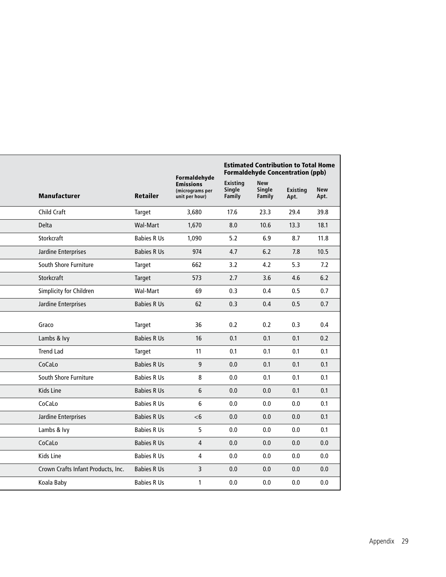|       |                                    |                    | Formaldehyde                                          |                              | <b>Estimated Contribution to Total Home</b><br><b>Formaldehyde Concentration (ppb)</b><br><b>New</b> |                  |                    |  |
|-------|------------------------------------|--------------------|-------------------------------------------------------|------------------------------|------------------------------------------------------------------------------------------------------|------------------|--------------------|--|
|       | <b>Manufacturer</b>                | <b>Retailer</b>    | <b>Emissions</b><br>(micrograms per<br>unit per hour) | Existing<br>Single<br>Family | Single<br>Family                                                                                     | Existing<br>Apt. | <b>New</b><br>Apt. |  |
|       | Child Craft                        | Target             | 3,680                                                 | 17.6                         | 23.3                                                                                                 | 29.4             | 39.8               |  |
| Delta |                                    | Wal-Mart           | 1,670                                                 | 8.0                          | 10.6                                                                                                 | 13.3             | 18.1               |  |
|       | Storkcraft                         | <b>Babies R Us</b> | 1,090                                                 | 5.2                          | 6.9                                                                                                  | 8.7              | 11.8               |  |
|       | Jardine Enterprises                | <b>Babies R Us</b> | 974                                                   | 4.7                          | 6.2                                                                                                  | 7.8              | 10.5               |  |
|       | South Shore Furniture              | Target             | 662                                                   | 3.2                          | 4.2                                                                                                  | 5.3              | 7.2                |  |
|       | Storkcraft                         | Target             | 573                                                   | 2.7                          | 3.6                                                                                                  | 4.6              | 6.2                |  |
|       | Simplicity for Children            | Wal-Mart           | 69                                                    | 0.3                          | 0.4                                                                                                  | 0.5              | 0.7                |  |
|       | Jardine Enterprises                | <b>Babies R Us</b> | 62                                                    | 0.3                          | 0.4                                                                                                  | 0.5              | 0.7                |  |
|       | Graco                              | Target             | 36                                                    | 0.2                          | 0.2                                                                                                  | 0.3              | 0.4                |  |
|       | Lambs & Ivy                        | <b>Babies R Us</b> | 16                                                    | 0.1                          | 0.1                                                                                                  | 0.1              | 0.2                |  |
|       | <b>Trend Lad</b>                   | Target             | 11                                                    | 0.1                          | 0.1                                                                                                  | 0.1              | 0.1                |  |
|       | CoCaLo                             | <b>Babies R Us</b> | 9 <sup>°</sup>                                        | 0.0                          | 0.1                                                                                                  | 0.1              | 0.1                |  |
|       | South Shore Furniture              | <b>Babies R Us</b> | 8                                                     | 0.0                          | 0.1                                                                                                  | 0.1              | 0.1                |  |
|       | Kids Line                          | <b>Babies R Us</b> | 6 <sup>1</sup>                                        | 0.0                          | 0.0                                                                                                  | 0.1              | 0.1                |  |
|       | CoCaLo                             | <b>Babies R Us</b> | 6 <sup>1</sup>                                        | 0.0                          | 0.0                                                                                                  | 0.0              | 0.1                |  |
|       | Jardine Enterprises                | <b>Babies R Us</b> | $<$ 6                                                 | 0.0                          | 0.0                                                                                                  | $0.0\,$          | 0.1                |  |
|       | Lambs & Ivy                        | <b>Babies R Us</b> | 5 <sup>1</sup>                                        | 0.0                          | 0.0                                                                                                  | 0.0              | 0.1                |  |
|       | CoCaLo                             | <b>Babies R Us</b> | $\overline{4}$                                        | 0.0                          | 0.0                                                                                                  | 0.0              | 0.0                |  |
|       | Kids Line                          | <b>Babies R Us</b> | $\overline{4}$                                        | 0.0                          | 0.0                                                                                                  | 0.0              | 0.0                |  |
|       | Crown Crafts Infant Products, Inc. | <b>Babies R Us</b> | $\overline{3}$                                        | 0.0                          | 0.0                                                                                                  | 0.0              | 0.0                |  |
|       | Koala Baby                         | <b>Babies R Us</b> | $\mathbf{1}$                                          | 0.0                          | 0.0                                                                                                  | 0.0              | 0.0                |  |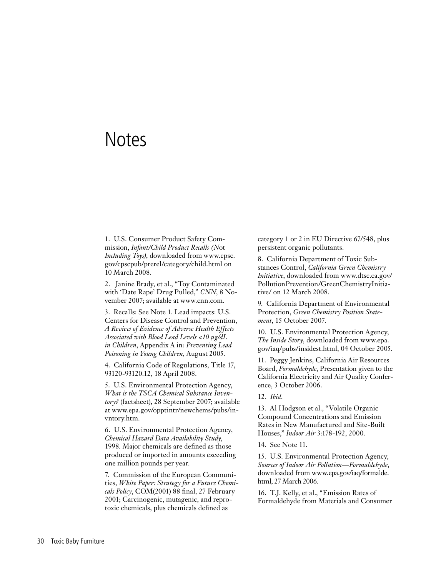## **Notes**

1. U.S. Consumer Product Safety Commission, *Infant/Child Product Recalls (N*ot *Including Toys)*, downloaded from www.cpsc. gov/cpscpub/prerel/category/child.html on 10 March 2008.

2. Janine Brady, et al., "Toy Contaminated with 'Date Rape' Drug Pulled," *CNN*, 8 November 2007; available at www.cnn.com.

3. Recalls: See Note 1. Lead impacts: U.S. Centers for Disease Control and Prevention, *A Review of Evidence of Adverse Health Effects Associated with Blood Lead Levels <10 µg/dL in Children*, Appendix A in: *Preventing Lead Poisoning in Young Children*, August 2005.

4. California Code of Regulations, Title 17, 93120-93120.12, 18 April 2008.

5. U.S. Environmental Protection Agency, *What is the TSCA Chemical Substance Inventory?* (factsheet), 28 September 2007; available at www.epa.gov/opptintr/newchems/pubs/invntory.htm.

6. U.S. Environmental Protection Agency, *Chemical Hazard Data Availability Study,*  1998*.* Major chemicals are defined as those produced or imported in amounts exceeding one million pounds per year.

7. Commission of the European Communities, *White Paper: Strategy for a Future Chemicals Policy*, COM(2001) 88 final, 27 February 2001; Carcinogenic, mutagenic, and reprotoxic chemicals, plus chemicals defined as

category 1 or 2 in EU Directive 67/548, plus persistent organic pollutants.

8. California Department of Toxic Substances Control, *California Green Chemistry Initiative*, downloaded from www.dtsc.ca.gov/ PollutionPrevention/GreenChemistryInitiative/ on 12 March 2008.

9. California Department of Environmental Protection, *Green Chemistry Position Statement*, 15 October 2007.

10. U.S. Environmental Protection Agency, *The Inside Story*, downloaded from www.epa. gov/iaq/pubs/insidest.html, 04 October 2005.

11. Peggy Jenkins, California Air Resources Board, *Formaldehyde*, Presentation given to the California Electricity and Air Quality Conference, 3 October 2006.

12. *Ibid*.

13. Al Hodgson et al., "Volatile Organic Compound Concentrations and Emission Rates in New Manufactured and Site-Built Houses," *Indoor Air* 3:178-192, 2000.

14. See Note 11.

15. U.S. Environmental Protection Agency, *Sources of Indoor Air Pollution—Formaldehyde*, downloaded from www.epa.gov/iaq/formalde. html, 27 March 2006.

16. T.J. Kelly, et al., "Emission Rates of Formaldehyde from Materials and Consumer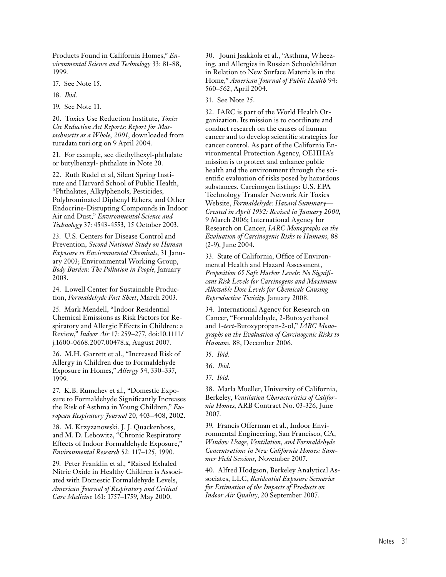Products Found in California Homes," *Environmental Science and Technology* 33: 81-88, 1999.

17. See Note 15.

18. *Ibid*.

19. See Note 11.

20. Toxics Use Reduction Institute, *Toxics Use Reduction Act Reports: Report for Massachusetts as a Whole, 2001*, downloaded from turadata.turi.org on 9 April 2004.

21. For example, see diethylhexyl-phthalate or butylbenzyl- phthalate in Note 20.

22. Ruth Rudel et al, Silent Spring Institute and Harvard School of Public Health, "Phthalates, Alkylphenols, Pesticides, Polybrominated Diphenyl Ethers, and Other Endocrine-Disrupting Compounds in Indoor Air and Dust," *Environmental Science and Technology* 37: 4543-4553, 15 October 2003.

23. U.S. Centers for Disease Control and Prevention, *Second National Study on Human Exposure to Environmental Chemicals*, 31 January 2003; Environmental Working Group, *Body Burden: The Pollution in People*, January 2003.

24. Lowell Center for Sustainable Production, *Formaldehyde Fact Sheet*, March 2003.

25. Mark Mendell, "Indoor Residential Chemical Emissions as Risk Factors for Respiratory and Allergic Effects in Children: a Review," *Indoor Air* 17: 259–277, doi:10.1111/ j.1600-0668.2007.00478.x, August 2007.

26. M.H. Garrett et al., "Increased Risk of Allergy in Children due to Formaldehyde Exposure in Homes," *Allergy* 54, 330–337, 1999.

27. K.B. Rumchev et al., "Domestic Exposure to Formaldehyde Significantly Increases the Risk of Asthma in Young Children," *European Respiratory Journal* 20, 403–408, 2002.

28. M. Krzyzanowski, J. J. Quackenboss, and M. D. Lebowitz, "Chronic Respiratory Effects of Indoor Formaldehyde Exposure," *Environmental Research* 52: 117–125, 1990.

29. Peter Franklin et al., "Raised Exhaled Nitric Oxide in Healthy Children is Associated with Domestic Formaldehyde Levels, *American Journal of Respiratory and Critical Care Medicine* 161: 1757–1759, May 2000.

30. Jouni Jaakkola et al., "Asthma, Wheezing, and Allergies in Russian Schoolchildren in Relation to New Surface Materials in the Home," *American Journal of Public Health* 94: 560–562, April 2004.

31. See Note 25.

32. IARC is part of the World Health Organization. Its mission is to coordinate and conduct research on the causes of human cancer and to develop scientific strategies for cancer control. As part of the California Environmental Protection Agency, OEHHA's mission is to protect and enhance public health and the environment through the scientific evaluation of risks posed by hazardous substances. Carcinogen listings: U.S. EPA Technology Transfer Network Air Toxics Website, *Formaldehyde: Hazard Summary— Created in April 1992: Revised in January 2000*, 9 March 2006; International Agency for Research on Cancer, *IARC Monographs on the Evaluation of Carcinogenic Risks to Humans*, 88 (2-9), June 2004.

33. State of California, Office of Environmental Health and Hazard Assessment, *Proposition 65 Safe Harbor Levels: No Significant Risk Levels for Carcinogens and Maximum Allowable Dose Levels for Chemicals Causing Reproductive Toxicity*, January 2008.

34. International Agency for Research on Cancer, "Formaldehyde, 2-Butoxyethanol and 1-*tert*-Butoxypropan-2-ol," *IARC Monographs on the Evaluation of Carcinogenic Risks to Humans*, 88, December 2006.

35. *Ibid*.

36. *Ibid*.

37. *Ibid*.

38. Marla Mueller, University of California, Berkeley, *Ventilation Characteristics of California Homes*, ARB Contract No. 03-326, June 2007.

39. Francis Offerman et al., Indoor Environmental Engineering, San Francisco, CA, *Window Usage, Ventilation, and Formaldehyde Concentrations in New California Homes: Summer Field Sessions*, November 2007.

40. Alfred Hodgson, Berkeley Analytical Associates, LLC, *Residential Exposure Scenarios for Estimation of the Impacts of Products on Indoor Air Quality*, 20 September 2007.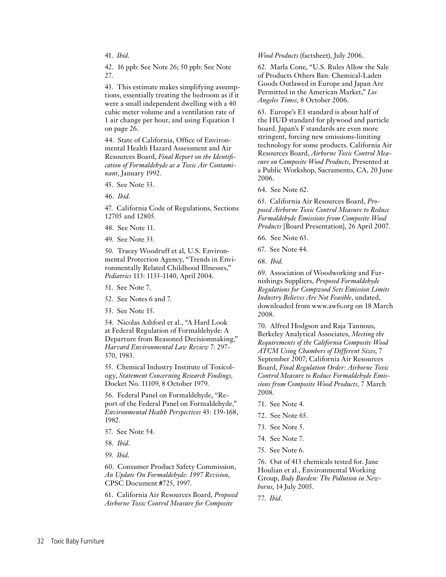41. *Ibid*.

42. 16 ppb: See Note 26; 50 ppb: See Note 27.

43. This estimate makes simplifying assumptions, essentially treating the bedroom as if it were a small independent dwelling with a 40 cubic meter volume and a ventilation rate of 1 air change per hour, and using Equation 1 on page 26.

44. State of California, Office of Environmental Health Hazard Assessment and Air Resources Board, *Final Report on the Identification of Formaldehyde as a Toxic Air Contaminant*, January 1992.

45. See Note 33.

46. *Ibid*.

47. California Code of Regulations, Sections 12705 and 12805.

48. See Note 11.

49. See Note 33.

50. Tracey Woodruff et al, U.S. Environmental Protection Agency, "Trends in Environmentally Related Childhood Illnesses," *Pediatrics* 113: 1133-1140, April 2004.

51. See Note 7.

52. See Notes 6 and 7.

53. See Note 15.

54. Nicolas Ashford et al., "A Hard Look at Federal Regulation of Formaldehyde: A Departure from Reasoned Decisionmaking," *Harvard Environmental Law Review* 7: 297- 370, 1983.

55. Chemical Industry Institute of Toxicology, *Statement Concerning Research Findings*, Docket No. 11109, 8 October 1979.

56. Federal Panel on Formaldehyde, "Report of the Federal Panel on Formaldehyde," *Environmental Health Perspectives* 43: 139-168, 1982.

57. See Note 54.

58. *Ibid*.

59. *Ibid*.

60. Consumer Product Safety Commission, *An Update On Formaldehyde: 1997 Revision,*  CPSC Document #725, 1997.

61. California Air Resources Board, *Proposed Airborne Toxic Control Measure for Composite* 

*Wood Products* (factsheet), July 2006.

62. Marla Cone, "U.S. Rules Allow the Sale of Products Others Ban: Chemical-Laden Goods Outlawed in Europe and Japan Are Permitted in the American Market," *Los Angeles Times*, 8 October 2006.

63. Europe's E1 standard is about half of the HUD standard for plywood and particle board. Japan's F standards are even more stringent, forcing new emissions-limiting technology for some products. California Air Resources Board, *Airborne Toxic Control Measure on Composite Wood Products*, Presented at a Public Workshop, Sacramento, CA, 20 June 2006.

64. See Note 62.

65. California Air Resources Board, *Proposed Airborne Toxic Control Measure to Reduce Formaldehyde Emissions from Composite Wood Products* [Board Presentation], 26 April 2007.

66. See Note 63.

67. See Note 44.

68. *Ibid*.

69. Association of Woodworking and Furnishings Suppliers, *Proposed Formaldehyde Regulations for Compwood Sets Emission Limits Industry Believes Are Not Feasible*, undated, downloaded from www.awfs.org on 18 March 2008.

70. Alfred Hodgson and Raja Tannous, Berkeley Analytical Associates, *Meeting the Requirements of the California Composite Wood ATCM Using Chambers of Different Sizes*, 7 September 2007; California Air Resources Board, *Final Regulation Order: Airborne Toxic Control Measure to Reduce Formaldehyde Emissions from Composite Wood Products*, 7 March 2008.

- 71. See Note 4.
- 72. See Note 65.
- 73. See Note 5.
- 74. See Note 7.
- 75. See Note 6.

76. Out of 413 chemicals tested for. Jane Houlian et al., Environmental Working Group, *Body Burden: The Pollution in Newborns*, 14 July 2005.

77. *Ibid*.